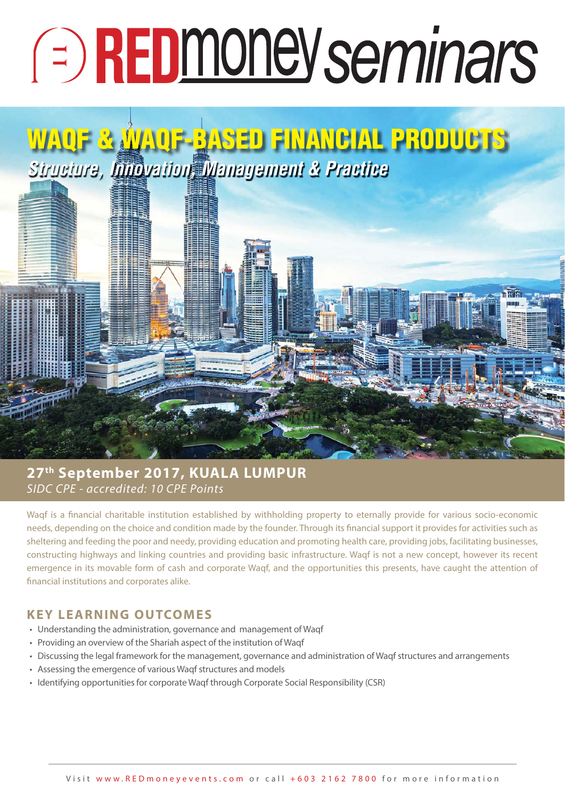# **E** REDmoney seminars

## **WAQF & WAQF-BASED FINANCIAL PRODUCTS** *Structure, Innovation, Management & Practice*

#### SIDC CPE - accredited: 10 CPE Points **27th September 2017, KUALA LUMPUR**

Waqf is a financial charitable institution established by withholding property to eternally provide for various socio-economic needs, depending on the choice and condition made by the founder. Through its financial support it provides for activities such as sheltering and feeding the poor and needy, providing education and promoting health care, providing jobs, facilitating businesses, constructing highways and linking countries and providing basic infrastructure. Waqf is not a new concept, however its recent emergence in its movable form of cash and corporate Waqf, and the opportunities this presents, have caught the attention of financial institutions and corporates alike.

#### **KEY LEARNING OUTCOMES**

- Understanding the administration, governance and management of Waqf
- Providing an overview of the Shariah aspect of the institution of Waqf
- Discussing the legal framework for the management, governance and administration of Waqf structures and arrangements
- Assessing the emergence of various Waqf structures and models
- Identifying opportunities for corporate Waqf through Corporate Social Responsibility (CSR)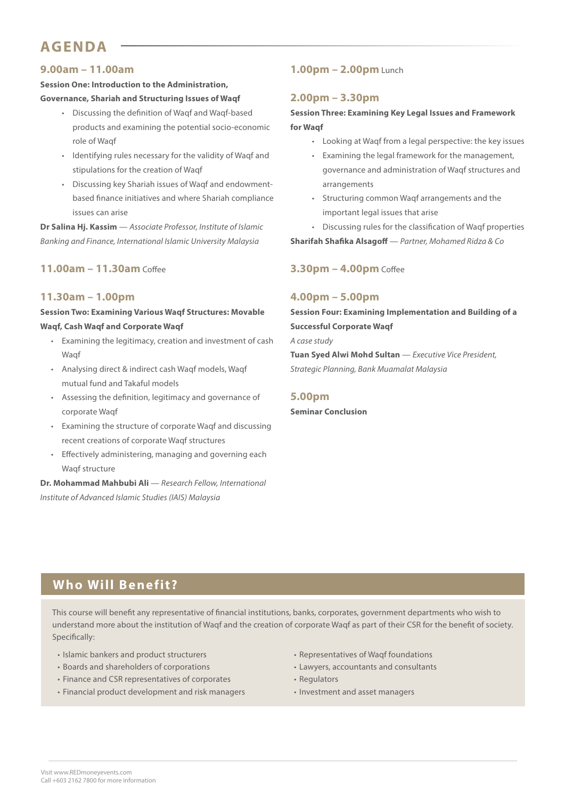## **AGENDA**

#### **9.00am – 11.00am**

#### **Session One: Introduction to the Administration, Governance, Shariah and Structuring Issues of Waqf**

- Discussing the definition of Waqf and Waqf-based products and examining the potential socio-economic role of Waqf
- Identifying rules necessary for the validity of Waqf and stipulations for the creation of Waqf
- Discussing key Shariah issues of Waqf and endowmentbased finance initiatives and where Shariah compliance issues can arise

**Dr Salina Hj. Kassim** — Associate Professor, Institute of Islamic Banking and Finance, International Islamic University Malaysia

#### **11.00am – 11.30am** Coffee

#### **11.30am – 1.00pm**

**Session Two: Examining Various Waqf Structures: Movable Waqf, Cash Waqf and Corporate Waqf**

- Examining the legitimacy, creation and investment of cash Wagf
- Analysing direct & indirect cash Waqf models, Waqf mutual fund and Takaful models
- Assessing the definition, legitimacy and governance of corporate Waqf
- Examining the structure of corporate Waqf and discussing recent creations of corporate Waqf structures
- Effectively administering, managing and governing each Waqf structure

**Dr. Mohammad Mahbubi Ali** — Research Fellow, International Institute of Advanced Islamic Studies (IAIS) Malaysia

#### **1.00pm – 2.00pm** Lunch

#### **2.00pm – 3.30pm**

#### **Session Three: Examining Key Legal Issues and Framework for Waqf**

- Looking at Waqf from a legal perspective: the key issues
- Examining the legal framework for the management, governance and administration of Waqf structures and arrangements
- Structuring common Waqf arrangements and the important legal issues that arise
- Discussing rules for the classification of Waqf properties

**Sharifah Shafika Alsagoff** — Partner, Mohamed Ridza & Co

#### **3.30pm – 4.00pm** Coffee

#### **4.00pm – 5.00pm**

**Session Four: Examining Implementation and Building of a Successful Corporate Waqf** A case study

**Tuan Syed Alwi Mohd Sultan** — Executive Vice President, Strategic Planning, Bank Muamalat Malaysia

#### **5.00pm**

**Seminar Conclusion**

#### **Who Will Benefit?**

This course will benefit any representative of financial institutions, banks, corporates, government departments who wish to understand more about the institution of Waqf and the creation of corporate Waqf as part of their CSR for the benefit of society. Specifically:

- Islamic bankers and product structurers
- Boards and shareholders of corporations
- Finance and CSR representatives of corporates
- Financial product development and risk managers
- Representatives of Waqf foundations
- Lawyers, accountants and consultants
- Regulators
- Investment and asset managers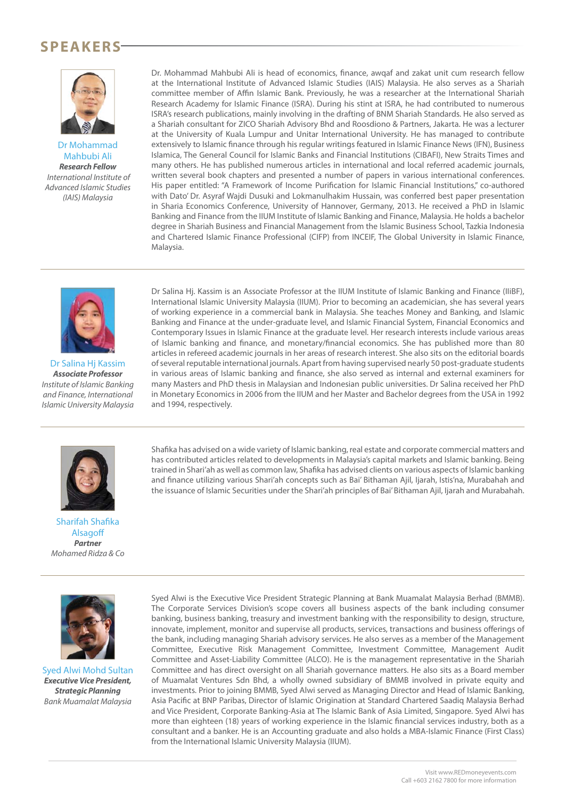## **SPEAKERS**



Dr Mohammad Mahbubi Ali *Research Fellow* International Institute of Advanced Islamic Studies (IAIS) Malaysia

Dr. Mohammad Mahbubi Ali is head of economics, finance, awqaf and zakat unit cum research fellow at the International Institute of Advanced Islamic Studies (IAIS) Malaysia. He also serves as a Shariah committee member of Affin Islamic Bank. Previously, he was a researcher at the International Shariah Research Academy for Islamic Finance (ISRA). During his stint at ISRA, he had contributed to numerous ISRA's research publications, mainly involving in the drafting of BNM Shariah Standards. He also served as a Shariah consultant for ZICO Shariah Advisory Bhd and Roosdiono & Partners, Jakarta. He was a lecturer at the University of Kuala Lumpur and Unitar International University. He has managed to contribute extensively to Islamic finance through his regular writings featured in Islamic Finance News (IFN), Business Islamica, The General Council for Islamic Banks and Financial Institutions (CIBAFI), New Straits Times and many others. He has published numerous articles in international and local referred academic journals, written several book chapters and presented a number of papers in various international conferences. His paper entitled: "A Framework of Income Purification for Islamic Financial Institutions," co-authored with Dato' Dr. Asyraf Wajdi Dusuki and Lokmanulhakim Hussain, was conferred best paper presentation in Sharia Economics Conference, University of Hannover, Germany, 2013. He received a PhD in Islamic Banking and Finance from the IIUM Institute of Islamic Banking and Finance, Malaysia. He holds a bachelor degree in Shariah Business and Financial Management from the Islamic Business School, Tazkia Indonesia and Chartered Islamic Finance Professional (CIFP) from INCEIF, The Global University in Islamic Finance, Malaysia.



Dr Salina Hj Kassim *Associate Professor* Institute of Islamic Banking and Finance, International Islamic University Malaysia

Dr Salina Hj. Kassim is an Associate Professor at the IIUM Institute of Islamic Banking and Finance (IIiBF), International Islamic University Malaysia (IIUM). Prior to becoming an academician, she has several years of working experience in a commercial bank in Malaysia. She teaches Money and Banking, and Islamic Banking and Finance at the under-graduate level, and Islamic Financial System, Financial Economics and Contemporary Issues in Islamic Finance at the graduate level. Her research interests include various areas of Islamic banking and finance, and monetary/financial economics. She has published more than 80 articles in refereed academic journals in her areas of research interest. She also sits on the editorial boards of several reputable international journals. Apart from having supervised nearly 50 post-graduate students in various areas of Islamic banking and finance, she also served as internal and external examiners for many Masters and PhD thesis in Malaysian and Indonesian public universities. Dr Salina received her PhD in Monetary Economics in 2006 from the IIUM and her Master and Bachelor degrees from the USA in 1992 and 1994, respectively.



Sharifah Shafika **Alsagoff** *Partner* Mohamed Ridza & Co Shafika has advised on a wide variety of Islamic banking, real estate and corporate commercial matters and has contributed articles related to developments in Malaysia's capital markets and Islamic banking. Being trained in Shari'ah as well as common law, Shafika has advised clients on various aspects of Islamic banking and finance utilizing various Shari'ah concepts such as Bai' Bithaman Ajil, Ijarah, Istis'na, Murabahah and the issuance of Islamic Securities under the Shari'ah principles of Bai' Bithaman Ajil, Ijarah and Murabahah.



Syed Alwi Mohd Sultan *Executive Vice President, Strategic Planning* Bank Muamalat Malaysia

Syed Alwi is the Executive Vice President Strategic Planning at Bank Muamalat Malaysia Berhad (BMMB). The Corporate Services Division's scope covers all business aspects of the bank including consumer banking, business banking, treasury and investment banking with the responsibility to design, structure, innovate, implement, monitor and supervise all products, services, transactions and business offerings of the bank, including managing Shariah advisory services. He also serves as a member of the Management Committee, Executive Risk Management Committee, Investment Committee, Management Audit Committee and Asset-Liability Committee (ALCO). He is the management representative in the Shariah Committee and has direct oversight on all Shariah governance matters. He also sits as a Board member of Muamalat Ventures Sdn Bhd, a wholly owned subsidiary of BMMB involved in private equity and investments. Prior to joining BMMB, Syed Alwi served as Managing Director and Head of Islamic Banking, Asia Pacific at BNP Paribas, Director of Islamic Origination at Standard Chartered Saadiq Malaysia Berhad and Vice President, Corporate Banking-Asia at The Islamic Bank of Asia Limited, Singapore. Syed Alwi has more than eighteen (18) years of working experience in the Islamic financial services industry, both as a consultant and a banker. He is an Accounting graduate and also holds a MBA-Islamic Finance (First Class) from the International Islamic University Malaysia (IIUM).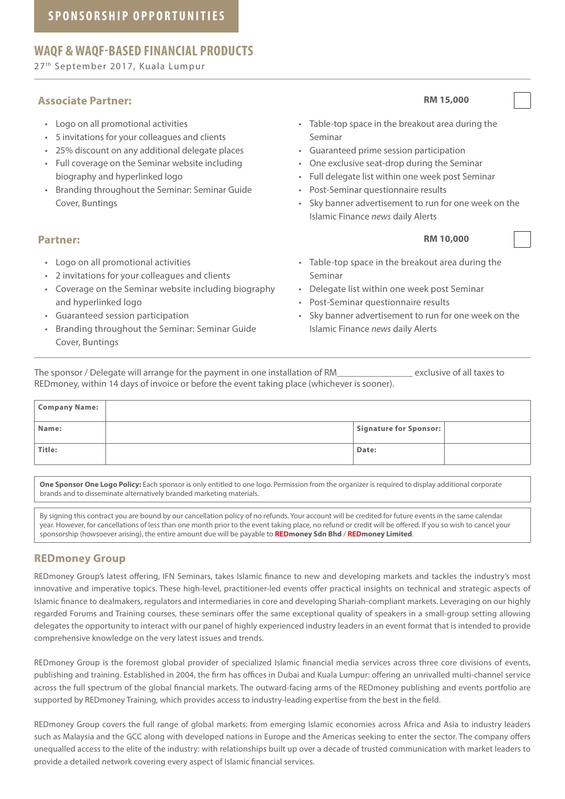#### **WAQF & WAQF-BASED FINANCIAL PRODUCTS**

27th September 2017, Kuala Lumpur

#### **Associate Partner: RM 15,000**

- Logo on all promotional activities
- 5 invitations for your colleagues and clients
- 25% discount on any additional delegate places
- Full coverage on the Seminar website including biography and hyperlinked logo
- Branding throughout the Seminar: Seminar Guide Cover, Buntings

#### **Partner: RM 10,000**

- Logo on all promotional activities
- 2 invitations for your colleagues and clients
- Coverage on the Seminar website including biography and hyperlinked logo
- Guaranteed session participation
- Branding throughout the Seminar: Seminar Guide Cover, Buntings

- Table-top space in the breakout area during the Seminar
- Guaranteed prime session participation
- One exclusive seat-drop during the Seminar
- Full delegate list within one week post Seminar
- Post-Seminar questionnaire results
- Sky banner advertisement to run for one week on the Islamic Finance news daily Alerts

- Table-top space in the breakout area during the Seminar
- Delegate list within one week post Seminar
- Post-Seminar questionnaire results
- Sky banner advertisement to run for one week on the Islamic Finance news daily Alerts

The sponsor / Delegate will arrange for the payment in one installation of RM exclusive of all taxes to REDmoney, within 14 days of invoice or before the event taking place (whichever is sooner).

| Company Name: |                        |  |
|---------------|------------------------|--|
| Name:         | Signature for Sponsor: |  |
| Title:        | Date:                  |  |

**One Sponsor One Logo Policy:** Each sponsor is only entitled to one logo. Permission from the organizer is required to display additional corporate brands and to disseminate alternatively branded marketing materials.

By signing this contract you are bound by our cancellation policy of no refunds. Your account will be credited for future events in the same calendar year. However, for cancellations of less than one month prior to the event taking place, no refund or credit will be offered. If you so wish to cancel your sponsorship (howsoever arising), the entire amount due will be payable to **REDmoney Sdn Bhd** / **REDmoney Limited**.

#### **REDmoney Group**

REDmoney Group's latest offering, IFN Seminars, takes Islamic finance to new and developing markets and tackles the industry's most innovative and imperative topics. These high-level, practitioner-led events offer practical insights on technical and strategic aspects of Islamic finance to dealmakers, regulators and intermediaries in core and developing Shariah-compliant markets. Leveraging on our highly regarded Forums and Training courses, these seminars offer the same exceptional quality of speakers in a small-group setting allowing delegates the opportunity to interact with our panel of highly experienced industry leaders in an event format that is intended to provide comprehensive knowledge on the very latest issues and trends.

REDmoney Group is the foremost global provider of specialized Islamic financial media services across three core divisions of events, publishing and training. Established in 2004, the firm has offices in Dubai and Kuala Lumpur: offering an unrivalled multi-channel service across the full spectrum of the global financial markets. The outward-facing arms of the REDmoney publishing and events portfolio are supported by REDmoney Training, which provides access to industry-leading expertise from the best in the field.

REDmoney Group covers the full range of global markets: from emerging Islamic economies across Africa and Asia to industry leaders such as Malaysia and the GCC along with developed nations in Europe and the Americas seeking to enter the sector. The company offers unequalled access to the elite of the industry: with relationships built up over a decade of trusted communication with market leaders to provide a detailed network covering every aspect of Islamic financial services.